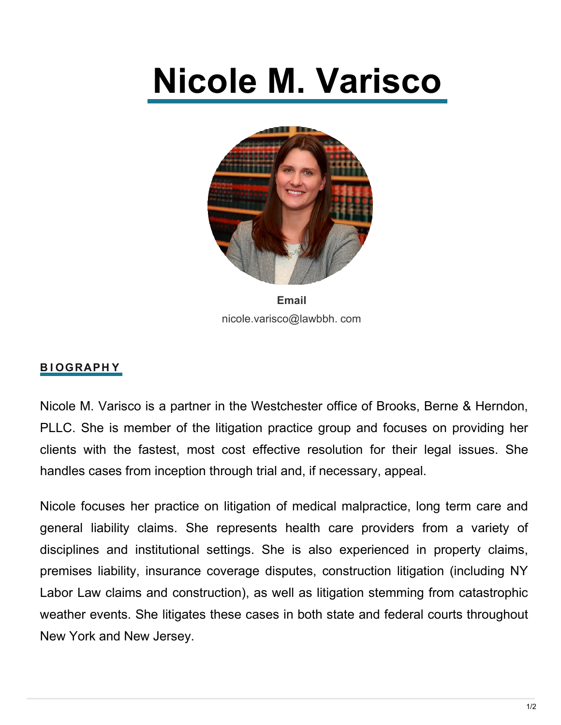# **Nicole M. Varisco**



**Email** nicole.varisco@lawbbh. com

## **B I OGRAPH Y**

Nicole M. Varisco is a partner in the Westchester office of Brooks, Berne & Herndon, PLLC. She is member of the litigation practice group and focuses on providing her clients with the [fastest,](https://lawbbh.com/wp-content/uploads/2019/11/Nicole-1.png) most cost effective resolution for their legal issues. She handles [cases](https://lawbbh.com/wp-content/uploads/2019/11/Nicole-1.png) from inception through trial and, if necessary, appeal.

Nicole [focuses her p](https://lawbbh.com/wp-content/uploads/2019/11/Nicole-1.png)ractice on litigation of medical malpractice, long term care and general liability [claims.](https://lawbbh.com/wp-content/uploads/2019/11/Nicole-1.png) She represents health care providers from a variety of disciplines and [institutional](https://lawbbh.com/wp-content/uploads/2019/11/Nicole-1.png) settings. She is also experienced in property claims, premises liability, insurance coverage disputes, construction litigation (including NY Labor Law claims and construction), as well as litigation stemming from catastrophic weather events. She litigates these cases in both state and federal courts throughout New York and New Jersey.